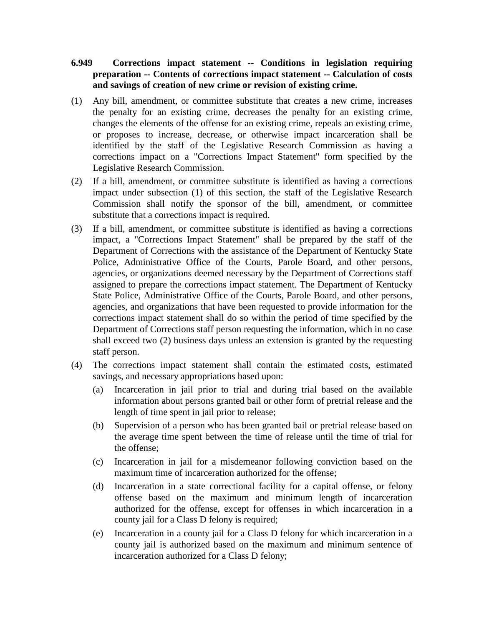## **6.949 Corrections impact statement -- Conditions in legislation requiring preparation -- Contents of corrections impact statement -- Calculation of costs and savings of creation of new crime or revision of existing crime.**

- (1) Any bill, amendment, or committee substitute that creates a new crime, increases the penalty for an existing crime, decreases the penalty for an existing crime, changes the elements of the offense for an existing crime, repeals an existing crime, or proposes to increase, decrease, or otherwise impact incarceration shall be identified by the staff of the Legislative Research Commission as having a corrections impact on a "Corrections Impact Statement" form specified by the Legislative Research Commission.
- (2) If a bill, amendment, or committee substitute is identified as having a corrections impact under subsection (1) of this section, the staff of the Legislative Research Commission shall notify the sponsor of the bill, amendment, or committee substitute that a corrections impact is required.
- (3) If a bill, amendment, or committee substitute is identified as having a corrections impact, a "Corrections Impact Statement" shall be prepared by the staff of the Department of Corrections with the assistance of the Department of Kentucky State Police, Administrative Office of the Courts, Parole Board, and other persons, agencies, or organizations deemed necessary by the Department of Corrections staff assigned to prepare the corrections impact statement. The Department of Kentucky State Police, Administrative Office of the Courts, Parole Board, and other persons, agencies, and organizations that have been requested to provide information for the corrections impact statement shall do so within the period of time specified by the Department of Corrections staff person requesting the information, which in no case shall exceed two (2) business days unless an extension is granted by the requesting staff person.
- (4) The corrections impact statement shall contain the estimated costs, estimated savings, and necessary appropriations based upon:
	- (a) Incarceration in jail prior to trial and during trial based on the available information about persons granted bail or other form of pretrial release and the length of time spent in jail prior to release;
	- (b) Supervision of a person who has been granted bail or pretrial release based on the average time spent between the time of release until the time of trial for the offense;
	- (c) Incarceration in jail for a misdemeanor following conviction based on the maximum time of incarceration authorized for the offense;
	- (d) Incarceration in a state correctional facility for a capital offense, or felony offense based on the maximum and minimum length of incarceration authorized for the offense, except for offenses in which incarceration in a county jail for a Class D felony is required;
	- (e) Incarceration in a county jail for a Class D felony for which incarceration in a county jail is authorized based on the maximum and minimum sentence of incarceration authorized for a Class D felony;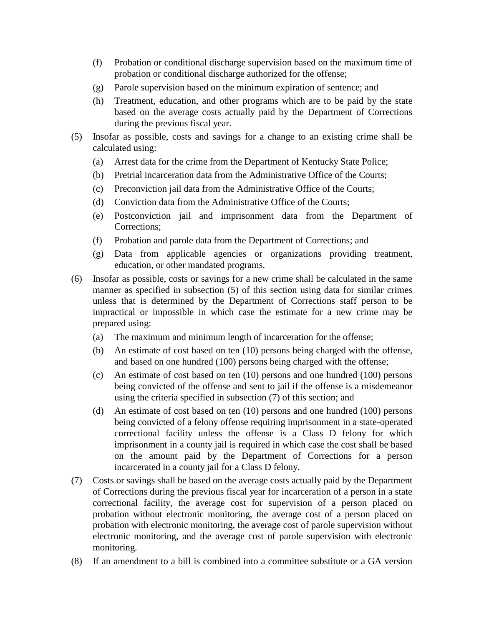- (f) Probation or conditional discharge supervision based on the maximum time of probation or conditional discharge authorized for the offense;
- (g) Parole supervision based on the minimum expiration of sentence; and
- (h) Treatment, education, and other programs which are to be paid by the state based on the average costs actually paid by the Department of Corrections during the previous fiscal year.
- (5) Insofar as possible, costs and savings for a change to an existing crime shall be calculated using:
	- (a) Arrest data for the crime from the Department of Kentucky State Police;
	- (b) Pretrial incarceration data from the Administrative Office of the Courts;
	- (c) Preconviction jail data from the Administrative Office of the Courts;
	- (d) Conviction data from the Administrative Office of the Courts;
	- (e) Postconviction jail and imprisonment data from the Department of Corrections;
	- (f) Probation and parole data from the Department of Corrections; and
	- (g) Data from applicable agencies or organizations providing treatment, education, or other mandated programs.
- (6) Insofar as possible, costs or savings for a new crime shall be calculated in the same manner as specified in subsection (5) of this section using data for similar crimes unless that is determined by the Department of Corrections staff person to be impractical or impossible in which case the estimate for a new crime may be prepared using:
	- (a) The maximum and minimum length of incarceration for the offense;
	- (b) An estimate of cost based on ten (10) persons being charged with the offense, and based on one hundred (100) persons being charged with the offense;
	- (c) An estimate of cost based on ten (10) persons and one hundred (100) persons being convicted of the offense and sent to jail if the offense is a misdemeanor using the criteria specified in subsection (7) of this section; and
	- (d) An estimate of cost based on ten (10) persons and one hundred (100) persons being convicted of a felony offense requiring imprisonment in a state-operated correctional facility unless the offense is a Class D felony for which imprisonment in a county jail is required in which case the cost shall be based on the amount paid by the Department of Corrections for a person incarcerated in a county jail for a Class D felony.
- (7) Costs or savings shall be based on the average costs actually paid by the Department of Corrections during the previous fiscal year for incarceration of a person in a state correctional facility, the average cost for supervision of a person placed on probation without electronic monitoring, the average cost of a person placed on probation with electronic monitoring, the average cost of parole supervision without electronic monitoring, and the average cost of parole supervision with electronic monitoring.
- (8) If an amendment to a bill is combined into a committee substitute or a GA version